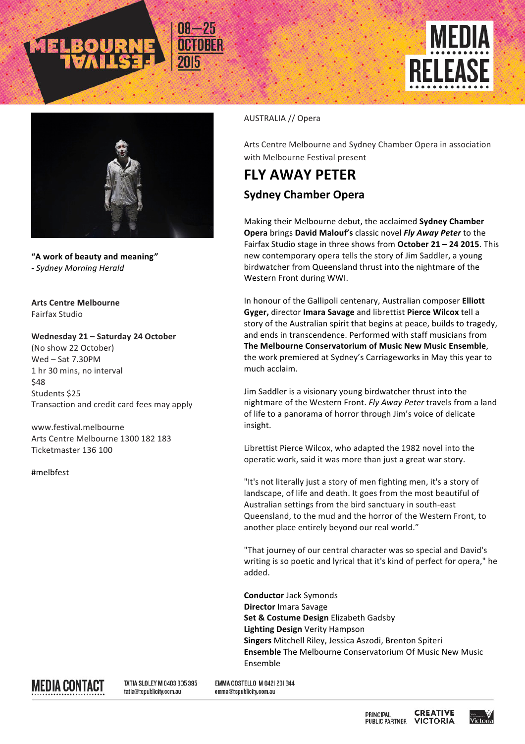





**"A work of beauty and meaning***" - Sydney Morning Herald*

**Arts Centre Melbourne** Fairfax Studio

Wednesday 21 - Saturday 24 October (No show 22 October)

 $Wed - Sat$  7.30PM 1 hr 30 mins, no interval \$48 Students \$25 Transaction and credit card fees may apply

www.festival.melbourne Arts Centre Melbourne 1300 182 183 Ticketmaster 136 100

#melbfest

## AUSTRALIA // Opera

Arts Centre Melbourne and Sydney Chamber Opera in association with Melbourne Festival present

## **FLY AWAY PETER Sydney Chamber Opera**

Making their Melbourne debut, the acclaimed Sydney Chamber **Opera** brings David Malouf's classic novel *Fly Away Peter* to the Fairfax Studio stage in three shows from October 21 - 24 2015. This new contemporary opera tells the story of Jim Saddler, a young birdwatcher from Queensland thrust into the nightmare of the Western Front during WWI.

In honour of the Gallipoli centenary, Australian composer **Elliott** Gyger, director Imara Savage and librettist Pierce Wilcox tell a story of the Australian spirit that begins at peace, builds to tragedy, and ends in transcendence. Performed with staff musicians from The Melbourne Conservatorium of Music New Music Ensemble, the work premiered at Sydney's Carriageworks in May this year to much acclaim.

Jim Saddler is a visionary young birdwatcher thrust into the nightmare of the Western Front. Fly Away Peter travels from a land of life to a panorama of horror through Jim's voice of delicate insight. 

Librettist Pierce Wilcox, who adapted the 1982 novel into the operatic work, said it was more than just a great war story.

"It's not literally just a story of men fighting men, it's a story of landscape, of life and death. It goes from the most beautiful of Australian settings from the bird sanctuary in south-east Queensland, to the mud and the horror of the Western Front, to another place entirely beyond our real world."

"That journey of our central character was so special and David's writing is so poetic and lyrical that it's kind of perfect for opera," he added.

**Conductor** Jack Symonds **Director** Imara Savage **Set & Costume Design Elizabeth Gadsby Lighting Design** Verity Hampson **Singers** Mitchell Riley, Jessica Aszodi, Brenton Spiteri **Ensemble** The Melbourne Conservatorium Of Music New Music Ensemble



TATIA SLOLEY M 0403 305 395 tatia@tspublicity.com.au

EMMA COSTELLO M 042| 20| 344 emma@tspublicity.com.au